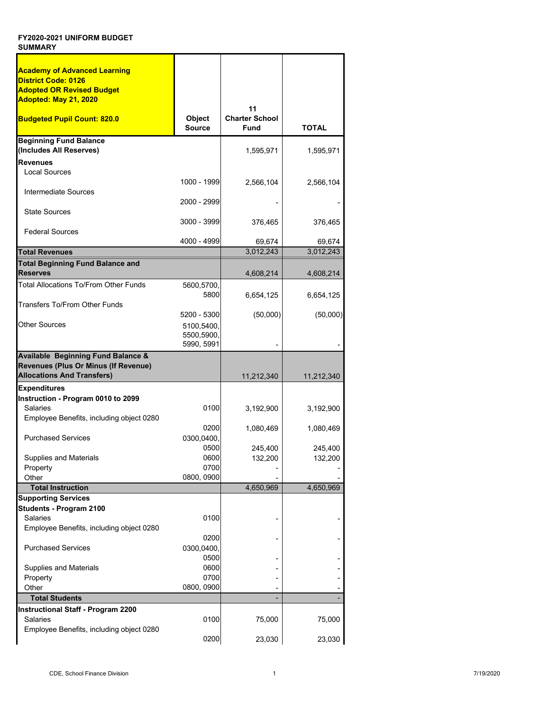| <b>Academy of Advanced Learning</b>                   |               |                       |              |
|-------------------------------------------------------|---------------|-----------------------|--------------|
| <b>District Code: 0126</b>                            |               |                       |              |
| <b>Adopted OR Revised Budget</b>                      |               |                       |              |
| Adopted: May 21, 2020                                 |               |                       |              |
|                                                       |               | 11                    |              |
| <b>Budgeted Pupil Count: 820.0</b>                    | <b>Object</b> | <b>Charter School</b> |              |
|                                                       | <b>Source</b> | <b>Fund</b>           | <b>TOTAL</b> |
|                                                       |               |                       |              |
| <b>Beginning Fund Balance</b>                         |               |                       |              |
| (Includes All Reserves)                               |               | 1,595,971             | 1,595,971    |
| <b>Revenues</b>                                       |               |                       |              |
| <b>Local Sources</b>                                  |               |                       |              |
|                                                       | 1000 - 1999   | 2,566,104             | 2,566,104    |
| Intermediate Sources                                  |               |                       |              |
|                                                       | 2000 - 2999   |                       |              |
| <b>State Sources</b>                                  |               |                       |              |
|                                                       | 3000 - 3999   | 376,465               | 376,465      |
| <b>Federal Sources</b>                                |               |                       |              |
|                                                       | 4000 - 4999   | 69,674                | 69,674       |
| <b>Total Revenues</b>                                 |               | 3,012,243             | 3,012,243    |
|                                                       |               |                       |              |
| <b>Total Beginning Fund Balance and</b>               |               |                       |              |
| Reserves                                              |               | 4,608,214             | 4,608,214    |
| Total Allocations To/From Other Funds                 | 5600,5700,    |                       |              |
|                                                       | 5800          | 6,654,125             | 6,654,125    |
| Transfers To/From Other Funds                         |               |                       |              |
|                                                       | 5200 - 5300   | (50,000)              | (50,000)     |
| <b>Other Sources</b>                                  | 5100,5400,    |                       |              |
|                                                       |               |                       |              |
|                                                       |               |                       |              |
|                                                       | 5500,5900,    |                       |              |
|                                                       | 5990, 5991    |                       |              |
| <b>Available Beginning Fund Balance &amp;</b>         |               |                       |              |
| Revenues (Plus Or Minus (If Revenue)                  |               |                       |              |
| <b>Allocations And Transfers)</b>                     |               | 11,212,340            | 11,212,340   |
| <b>Expenditures</b>                                   |               |                       |              |
|                                                       |               |                       |              |
| Instruction - Program 0010 to 2099<br><b>Salaries</b> | 0100          |                       |              |
|                                                       |               | 3,192,900             | 3,192,900    |
| Employee Benefits, including object 0280              |               |                       |              |
|                                                       | 0200          | 1,080,469             | 1,080,469    |
| <b>Purchased Services</b>                             | 0300,0400,    |                       |              |
|                                                       | 0500          | 245,400               | 245,400      |
| <b>Supplies and Materials</b>                         | 0600          | 132,200               | 132,200      |
| Property                                              | 0700          |                       |              |
| Other                                                 | 0800, 0900    |                       |              |
| <b>Total Instruction</b>                              |               | 4,650,969             | 4,650,969    |
| <b>Supporting Services</b>                            |               |                       |              |
| Students - Program 2100                               |               |                       |              |
| Salaries                                              | 0100          |                       |              |
| Employee Benefits, including object 0280              |               |                       |              |
|                                                       | 0200          |                       |              |
| <b>Purchased Services</b>                             |               |                       |              |
|                                                       | 0300,0400,    |                       |              |
|                                                       | 0500          |                       |              |
| <b>Supplies and Materials</b>                         | 0600          |                       |              |
| Property                                              | 0700          |                       |              |
| Other                                                 | 0800, 0900    |                       |              |
| <b>Total Students</b>                                 |               |                       |              |
| <b>Instructional Staff - Program 2200</b>             |               |                       |              |
| <b>Salaries</b>                                       | 0100          | 75,000                | 75,000       |
| Employee Benefits, including object 0280              | 0200          |                       |              |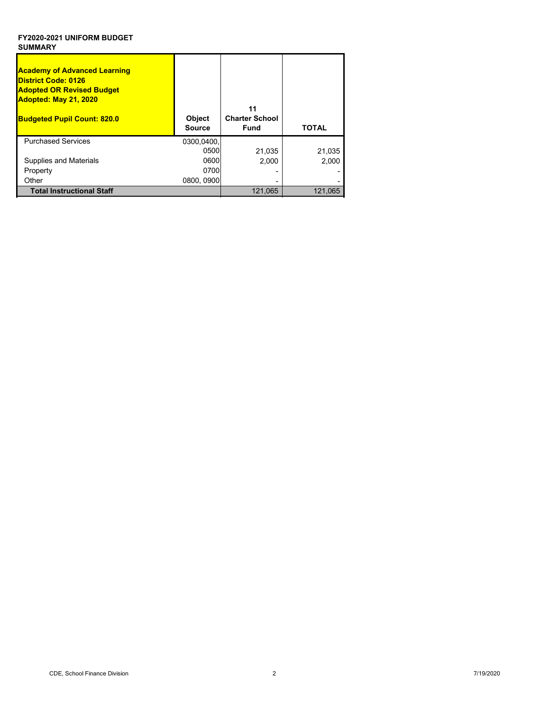| <b>Academy of Advanced Learning</b><br><b>District Code: 0126</b><br><b>Adopted OR Revised Budget</b><br>Adopted: May 21, 2020<br><b>Budgeted Pupil Count: 820.0</b> | <b>Object</b><br><b>Source</b> | 11<br><b>Charter School</b><br>Fund | <b>TOTAL</b> |
|----------------------------------------------------------------------------------------------------------------------------------------------------------------------|--------------------------------|-------------------------------------|--------------|
| <b>Purchased Services</b>                                                                                                                                            | 0300,0400,                     |                                     |              |
|                                                                                                                                                                      | 0500                           | 21,035                              | 21,035       |
| <b>Supplies and Materials</b>                                                                                                                                        | 0600                           | 2,000                               | 2,000        |
| Property                                                                                                                                                             | 0700                           |                                     |              |
| Other                                                                                                                                                                | 0800, 0900                     |                                     |              |
| <b>Total Instructional Staff</b>                                                                                                                                     |                                | 121,065                             | 121,065      |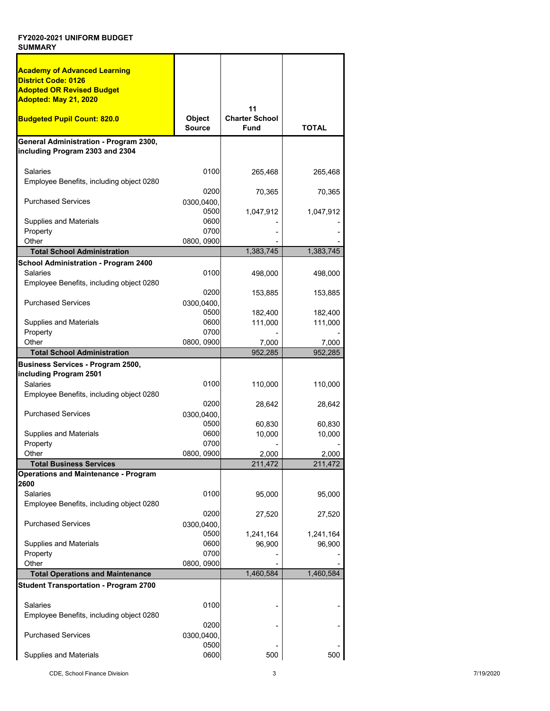| <b>Academy of Advanced Learning</b><br>District Code: 0126<br><b>Adopted OR Revised Budget</b><br>Adopted: May 21, 2020 |                            |                                            |                     |
|-------------------------------------------------------------------------------------------------------------------------|----------------------------|--------------------------------------------|---------------------|
| <b>Budgeted Pupil Count: 820.0</b>                                                                                      | Object<br><b>Source</b>    | 11<br><b>Charter School</b><br><b>Fund</b> | <b>TOTAL</b>        |
| General Administration - Program 2300,<br>including Program 2303 and 2304                                               |                            |                                            |                     |
| <b>Salaries</b>                                                                                                         | 0100                       | 265,468                                    | 265,468             |
| Employee Benefits, including object 0280                                                                                |                            |                                            |                     |
| <b>Purchased Services</b>                                                                                               | 0200<br>0300,0400,<br>0500 | 70,365<br>1,047,912                        | 70,365<br>1,047,912 |
| Supplies and Materials                                                                                                  | 0600                       |                                            |                     |
| Property                                                                                                                | 0700                       |                                            |                     |
| Other<br><b>Total School Administration</b>                                                                             | 0800, 0900                 | 1,383,745                                  | 1,383,745           |
| School Administration - Program 2400                                                                                    |                            |                                            |                     |
| Salaries<br>Employee Benefits, including object 0280                                                                    | 0100                       | 498,000                                    | 498,000             |
|                                                                                                                         | 0200                       | 153,885                                    | 153,885             |
| <b>Purchased Services</b>                                                                                               | 0300,0400,                 |                                            |                     |
| <b>Supplies and Materials</b>                                                                                           | 0500<br>0600               | 182,400<br>111,000                         | 182,400<br>111,000  |
| Property                                                                                                                | 0700                       |                                            |                     |
| Other                                                                                                                   | 0800, 0900                 | 7,000                                      | 7,000               |
| <b>Total School Administration</b>                                                                                      |                            | 952,285                                    | 952,285             |
| Business Services - Program 2500,                                                                                       |                            |                                            |                     |
| including Program 2501<br>Salaries                                                                                      | 0100                       | 110,000                                    | 110,000             |
| Employee Benefits, including object 0280                                                                                |                            |                                            |                     |
|                                                                                                                         | 0200                       | 28,642                                     | 28,642              |
| <b>Purchased Services</b>                                                                                               | 0300,0400,                 |                                            |                     |
| <b>Supplies and Materials</b>                                                                                           | 0500<br>0600               | 60,830<br>10,000                           | 60,830<br>10,000    |
| Property                                                                                                                | 0700                       |                                            |                     |
| Other                                                                                                                   | 0800, 0900                 | 2.000                                      | 2.000               |
| <b>Total Business Services</b>                                                                                          |                            | 211,472                                    | 211,472             |
| <b>Operations and Maintenance - Program</b><br>2600                                                                     |                            |                                            |                     |
| <b>Salaries</b>                                                                                                         | 0100                       | 95,000                                     | 95,000              |
| Employee Benefits, including object 0280                                                                                |                            |                                            |                     |
|                                                                                                                         | 0200                       | 27,520                                     | 27,520              |
| <b>Purchased Services</b>                                                                                               | 0300,0400,<br>0500         | 1,241,164                                  |                     |
| <b>Supplies and Materials</b>                                                                                           | 0600                       | 96,900                                     | 1,241,164<br>96,900 |
| Property                                                                                                                | 0700                       |                                            |                     |
| Other                                                                                                                   | 0800, 0900                 |                                            |                     |
| <b>Total Operations and Maintenance</b>                                                                                 |                            | 1,460,584                                  | 1,460,584           |
| <b>Student Transportation - Program 2700</b>                                                                            |                            |                                            |                     |
| Salaries                                                                                                                | 0100                       |                                            |                     |
| Employee Benefits, including object 0280                                                                                |                            |                                            |                     |
|                                                                                                                         | 0200                       |                                            |                     |
| <b>Purchased Services</b>                                                                                               | 0300,0400,<br>0500         |                                            |                     |
| <b>Supplies and Materials</b>                                                                                           | 0600                       | 500                                        | 500                 |

CDE, School Finance Division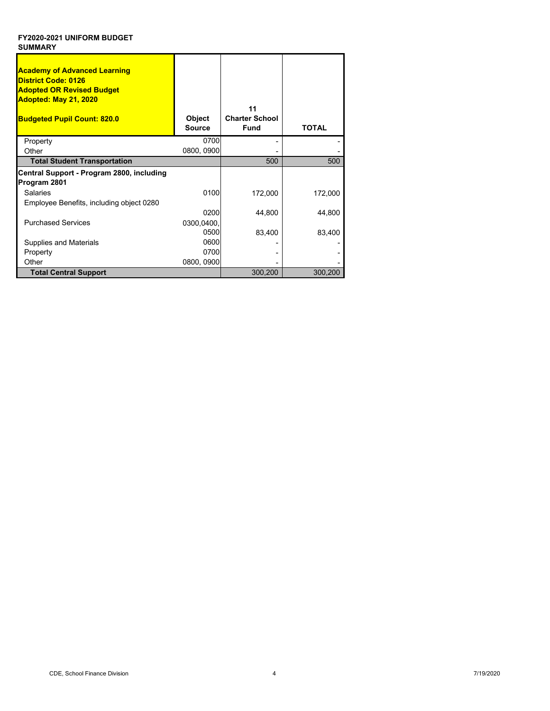| <b>Academy of Advanced Learning</b><br><b>District Code: 0126</b><br><b>Adopted OR Revised Budget</b><br>Adopted: May 21, 2020<br><b>Budgeted Pupil Count: 820.0</b> | Object<br><b>Source</b> | 11<br><b>Charter School</b><br><b>Fund</b> | <b>TOTAL</b> |
|----------------------------------------------------------------------------------------------------------------------------------------------------------------------|-------------------------|--------------------------------------------|--------------|
| Property                                                                                                                                                             | 0700                    |                                            |              |
| Other                                                                                                                                                                | 0800, 0900              |                                            |              |
| <b>Total Student Transportation</b>                                                                                                                                  |                         | 500                                        | 500          |
| Central Support - Program 2800, including<br>Program 2801                                                                                                            |                         |                                            |              |
| <b>Salaries</b>                                                                                                                                                      | 0100                    | 172,000                                    | 172,000      |
| Employee Benefits, including object 0280                                                                                                                             |                         |                                            |              |
|                                                                                                                                                                      | 0200                    | 44,800                                     | 44,800       |
| <b>Purchased Services</b>                                                                                                                                            | 0300,0400,              |                                            |              |
|                                                                                                                                                                      | 0500                    | 83,400                                     | 83,400       |
| Supplies and Materials                                                                                                                                               | 0600                    |                                            |              |
| Property                                                                                                                                                             | 0700                    |                                            |              |
| Other                                                                                                                                                                | 0800, 0900              |                                            |              |
| <b>Total Central Support</b>                                                                                                                                         |                         | 300,200                                    | 300,200      |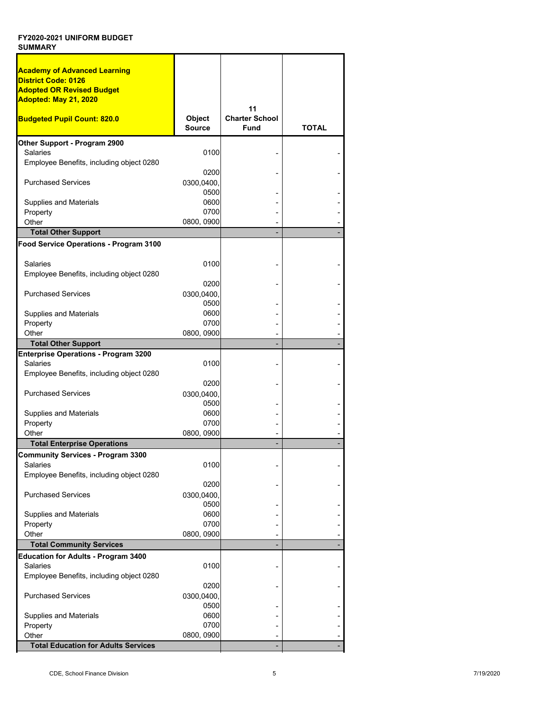| <b>Academy of Advanced Learning</b>                            |                                |                                      |              |
|----------------------------------------------------------------|--------------------------------|--------------------------------------|--------------|
| <b>District Code: 0126</b>                                     |                                |                                      |              |
| <b>Adopted OR Revised Budget</b>                               |                                |                                      |              |
| Adopted: May 21, 2020                                          |                                |                                      |              |
|                                                                |                                | 11                                   |              |
| <b>Budgeted Pupil Count: 820.0</b>                             | <b>Object</b><br><b>Source</b> | <b>Charter School</b><br><b>Fund</b> | <b>TOTAL</b> |
| Other Support - Program 2900                                   |                                |                                      |              |
| <b>Salaries</b>                                                | 0100                           |                                      |              |
| Employee Benefits, including object 0280                       |                                |                                      |              |
|                                                                | 0200                           |                                      |              |
| <b>Purchased Services</b>                                      | 0300,0400,                     |                                      |              |
|                                                                | 0500                           |                                      |              |
| <b>Supplies and Materials</b>                                  | 0600                           |                                      |              |
| Property                                                       | 0700                           |                                      |              |
| Other                                                          | 0800, 0900                     |                                      |              |
| <b>Total Other Support</b>                                     |                                |                                      |              |
| Food Service Operations - Program 3100                         |                                |                                      |              |
|                                                                |                                |                                      |              |
| <b>Salaries</b>                                                | 0100                           |                                      |              |
| Employee Benefits, including object 0280                       |                                |                                      |              |
|                                                                | 0200                           |                                      |              |
| <b>Purchased Services</b>                                      | 0300,0400,                     |                                      |              |
|                                                                | 0500                           |                                      |              |
| <b>Supplies and Materials</b>                                  | 0600                           |                                      |              |
| Property                                                       | 0700                           |                                      |              |
| Other                                                          | 0800, 0900                     |                                      |              |
| <b>Total Other Support</b>                                     |                                |                                      |              |
| <b>Enterprise Operations - Program 3200</b><br><b>Salaries</b> | 0100                           |                                      |              |
| Employee Benefits, including object 0280                       |                                |                                      |              |
|                                                                | 0200                           |                                      |              |
| <b>Purchased Services</b>                                      | 0300,0400,                     |                                      |              |
|                                                                | 0500                           |                                      |              |
| <b>Supplies and Materials</b>                                  | 0600                           |                                      |              |
| Property                                                       | 0700                           |                                      |              |
| Other                                                          | 0800, 0900                     |                                      |              |
| <b>Total Enterprise Operations</b>                             |                                |                                      |              |
| Community Services - Program 3300                              |                                |                                      |              |
| <b>Salaries</b>                                                | 0100                           |                                      |              |
| Employee Benefits, including object 0280                       |                                |                                      |              |
|                                                                | 0200                           |                                      |              |
| <b>Purchased Services</b>                                      | 0300,0400,                     |                                      |              |
|                                                                | 0500                           |                                      |              |
| <b>Supplies and Materials</b>                                  | 0600                           |                                      |              |
| Property                                                       | 0700                           |                                      |              |
| Other                                                          | 0800, 0900                     |                                      |              |
| <b>Total Community Services</b>                                |                                |                                      |              |
| <b>Education for Adults - Program 3400</b><br><b>Salaries</b>  | 0100                           |                                      |              |
|                                                                |                                |                                      |              |
| Employee Benefits, including object 0280                       | 0200                           |                                      |              |
| <b>Purchased Services</b>                                      | 0300,0400,                     |                                      |              |
|                                                                | 0500                           |                                      |              |
| <b>Supplies and Materials</b>                                  | 0600                           |                                      |              |
| Property                                                       | 0700                           |                                      |              |
| Other                                                          | 0800, 0900                     |                                      |              |
| <b>Total Education for Adults Services</b>                     |                                |                                      |              |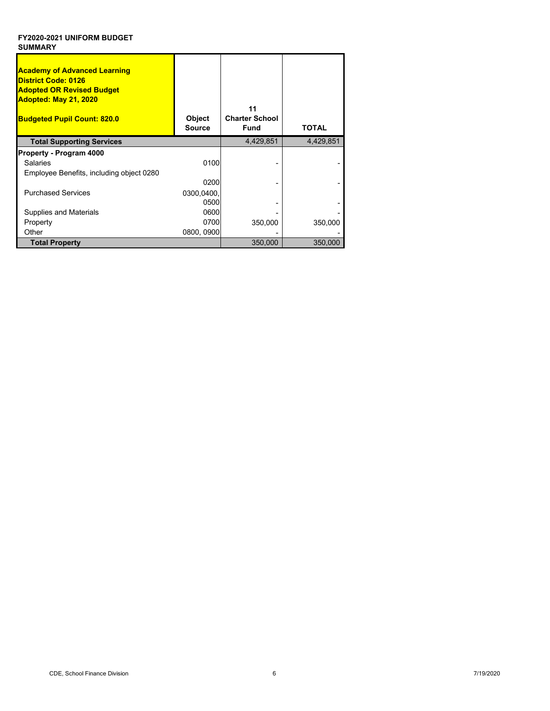| <b>Academy of Advanced Learning</b><br><b>District Code: 0126</b><br><b>Adopted OR Revised Budget</b><br>Adopted: May 21, 2020<br><b>Budgeted Pupil Count: 820.0</b> | Object<br><b>Source</b> | 11<br><b>Charter School</b><br><b>Fund</b> | TOTAL     |
|----------------------------------------------------------------------------------------------------------------------------------------------------------------------|-------------------------|--------------------------------------------|-----------|
| <b>Total Supporting Services</b>                                                                                                                                     |                         | 4,429,851                                  | 4,429,851 |
| Property - Program 4000                                                                                                                                              |                         |                                            |           |
| <b>Salaries</b>                                                                                                                                                      | 0100                    |                                            |           |
| Employee Benefits, including object 0280                                                                                                                             |                         |                                            |           |
|                                                                                                                                                                      | 0200                    |                                            |           |
| <b>Purchased Services</b>                                                                                                                                            | 0300,0400,              |                                            |           |
|                                                                                                                                                                      | 0500                    |                                            |           |
| Supplies and Materials                                                                                                                                               | 0600                    |                                            |           |
| Property                                                                                                                                                             | 0700                    | 350,000                                    | 350,000   |
| Other                                                                                                                                                                | 0800, 0900              |                                            |           |
| <b>Total Property</b>                                                                                                                                                |                         | 350,000                                    | 350,000   |